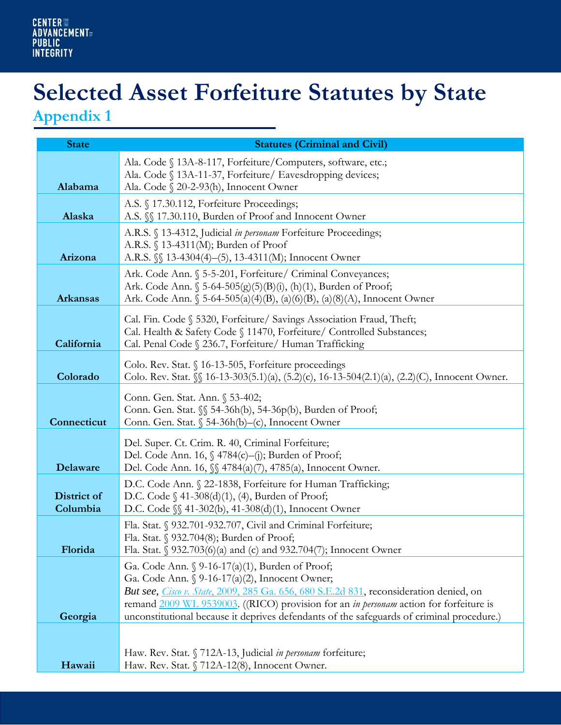## **Selected Asset Forfeiture Statutes by State**

**Appendix 1**

| <b>State</b>            | <b>Statutes (Criminal and Civil)</b>                                                                                                                                                                                                                                                                                                                                              |
|-------------------------|-----------------------------------------------------------------------------------------------------------------------------------------------------------------------------------------------------------------------------------------------------------------------------------------------------------------------------------------------------------------------------------|
| Alabama                 | Ala. Code § 13A-8-117, Forfeiture/Computers, software, etc.;<br>Ala. Code § 13A-11-37, Forfeiture/ Eavesdropping devices;<br>Ala. Code § 20-2-93(h), Innocent Owner                                                                                                                                                                                                               |
| Alaska                  | A.S. § 17.30.112, Forfeiture Proceedings;<br>A.S. §§ 17.30.110, Burden of Proof and Innocent Owner                                                                                                                                                                                                                                                                                |
| Arizona                 | A.R.S. § 13-4312, Judicial in personam Forfeiture Proceedings;<br>A.R.S. § 13-4311(M); Burden of Proof<br>A.R.S. $\{\$$ 13-4304(4)-(5), 13-4311(M); Innocent Owner                                                                                                                                                                                                                |
| <b>Arkansas</b>         | Ark. Code Ann. § 5-5-201, Forfeiture/ Criminal Conveyances;<br>Ark. Code Ann. § 5-64-505(g)(5)(B)(i), (h)(1), Burden of Proof;<br>Ark. Code Ann. $\S$ 5-64-505(a)(4)(B), (a)(6)(B), (a)(8)(A), Innocent Owner                                                                                                                                                                     |
| California              | Cal. Fin. Code § 5320, Forfeiture/ Savings Association Fraud, Theft;<br>Cal. Health & Safety Code § 11470, Forfeiture/ Controlled Substances;<br>Cal. Penal Code § 236.7, Forfeiture/ Human Trafficking                                                                                                                                                                           |
| Colorado                | Colo. Rev. Stat. § 16-13-505, Forfeiture proceedings<br>Colo. Rev. Stat. §§ 16-13-303(5.1)(a), (5.2)(c), 16-13-504(2.1)(a), (2.2)(C), Innocent Owner.                                                                                                                                                                                                                             |
| Connecticut             | Conn. Gen. Stat. Ann. § 53-402;<br>Conn. Gen. Stat. <i>\\\$</i> 54-36h(b), 54-36p(b), Burden of Proof;<br>Conn. Gen. Stat. § 54-36h(b)-(c), Innocent Owner                                                                                                                                                                                                                        |
| Delaware                | Del. Super. Ct. Crim. R. 40, Criminal Forfeiture;<br>Del. Code Ann. 16, § 4784(c)-(j); Burden of Proof;<br>Del. Code Ann. 16,  § 4784(a)(7), 4785(a), Innocent Owner.                                                                                                                                                                                                             |
| District of<br>Columbia | D.C. Code Ann. § 22-1838, Forfeiture for Human Trafficking;<br>D.C. Code $\S$ 41-308(d)(1), (4), Burden of Proof;<br>D.C. Code \, 41-302(b), 41-308(d)(1), Innocent Owner                                                                                                                                                                                                         |
| Florida                 | Fla. Stat. § 932.701-932.707, Civil and Criminal Forfeiture;<br>Fla. Stat. § 932.704(8); Burden of Proof;<br>Fla. Stat. § 932.703(6)(a) and (c) and 932.704(7); Innocent Owner                                                                                                                                                                                                    |
| Georgia                 | Ga. Code Ann. § 9-16-17(a)(1), Burden of Proof;<br>Ga. Code Ann. § 9-16-17(a)(2), Innocent Owner;<br>But see, Cisco v. State, 2009, 285 Ga. 656, 680 S.E.2d 831, reconsideration denied, on<br>remand 2009 WL 9539003. ((RICO) provision for an in personam action for forfeiture is<br>unconstitutional because it deprives defendants of the safeguards of criminal procedure.) |
| Hawaii                  | Haw. Rev. Stat. § 712A-13, Judicial in personam forfeiture;<br>Haw. Rev. Stat. § 712A-12(8), Innocent Owner.                                                                                                                                                                                                                                                                      |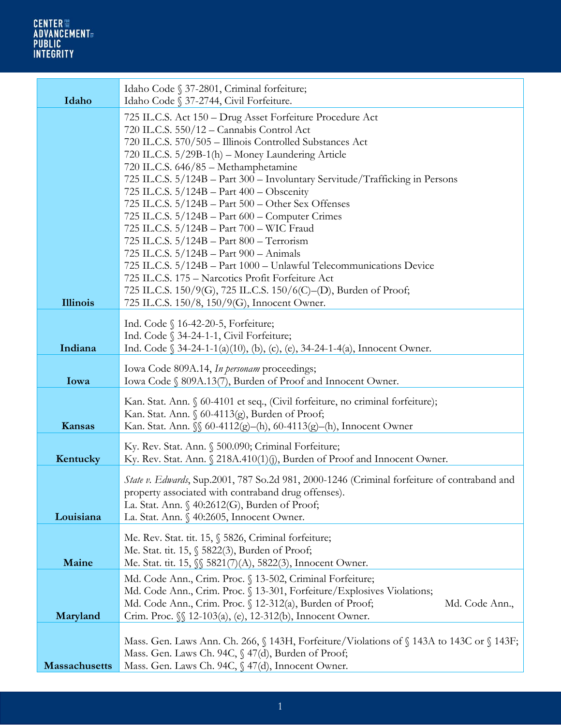## CENTER ₩<br>ADVANCEMENT#<br>PUBLIC<br>INTEGRITY

| Idaho                | Idaho Code § 37-2801, Criminal forfeiture;<br>Idaho Code § 37-2744, Civil Forfeiture.                                                                                                                                                                                                                                                                                                                                                                                                                                                                                                                                                                                                                                                                                                                                                                                                        |
|----------------------|----------------------------------------------------------------------------------------------------------------------------------------------------------------------------------------------------------------------------------------------------------------------------------------------------------------------------------------------------------------------------------------------------------------------------------------------------------------------------------------------------------------------------------------------------------------------------------------------------------------------------------------------------------------------------------------------------------------------------------------------------------------------------------------------------------------------------------------------------------------------------------------------|
| <b>Illinois</b>      | 725 IL.C.S. Act 150 – Drug Asset Forfeiture Procedure Act<br>720 IL.C.S. 550/12 - Cannabis Control Act<br>720 IL.C.S. 570/505 - Illinois Controlled Substances Act<br>720 IL.C.S. 5/29B-1(h) - Money Laundering Article<br>720 IL.C.S. 646/85 - Methamphetamine<br>725 IL.C.S. 5/124B - Part 300 - Involuntary Servitude/Trafficking in Persons<br>725 IL.C.S. $5/124B$ – Part 400 – Obscenity<br>725 IL.C.S. 5/124B - Part 500 - Other Sex Offenses<br>725 IL.C.S. 5/124B - Part 600 - Computer Crimes<br>725 IL.C.S. 5/124B - Part 700 - WIC Fraud<br>725 IL.C.S. 5/124B - Part 800 - Terrorism<br>725 IL.C.S. 5/124B - Part 900 - Animals<br>725 IL.C.S. 5/124B - Part 1000 - Unlawful Telecommunications Device<br>725 IL.C.S. 175 - Narcotics Profit Forfeiture Act<br>725 IL.C.S. 150/9(G), 725 IL.C.S. 150/6(C)-(D), Burden of Proof;<br>725 IL.C.S. 150/8, 150/9(G), Innocent Owner. |
| Indiana              | Ind. Code § 16-42-20-5, Forfeiture;<br>Ind. Code § 34-24-1-1, Civil Forfeiture;<br>Ind. Code § 34-24-1-1(a)(10), (b), (c), (e), 34-24-1-4(a), Innocent Owner.                                                                                                                                                                                                                                                                                                                                                                                                                                                                                                                                                                                                                                                                                                                                |
| Iowa                 | Iowa Code 809A.14, In personam proceedings;<br>Iowa Code § 809A.13(7), Burden of Proof and Innocent Owner.                                                                                                                                                                                                                                                                                                                                                                                                                                                                                                                                                                                                                                                                                                                                                                                   |
| Kansas               | Kan. Stat. Ann. § 60-4101 et seq., (Civil forfeiture, no criminal forfeiture);<br>Kan. Stat. Ann. § 60-4113(g), Burden of Proof;<br>Kan. Stat. Ann. §§ 60-4112(g)-(h), 60-4113(g)-(h), Innocent Owner                                                                                                                                                                                                                                                                                                                                                                                                                                                                                                                                                                                                                                                                                        |
| Kentucky             | Ky. Rev. Stat. Ann. § 500.090; Criminal Forfeiture;<br>Ky. Rev. Stat. Ann. § 218A.410(1)(j), Burden of Proof and Innocent Owner.                                                                                                                                                                                                                                                                                                                                                                                                                                                                                                                                                                                                                                                                                                                                                             |
| Louisiana            | State v. Edwards, Sup.2001, 787 So.2d 981, 2000-1246 (Criminal forfeiture of contraband and<br>property associated with contraband drug offenses).<br>La. Stat. Ann. § 40:2612(G), Burden of Proof;<br>La. Stat. Ann. § 40:2605, Innocent Owner.                                                                                                                                                                                                                                                                                                                                                                                                                                                                                                                                                                                                                                             |
| Maine                | Me. Rev. Stat. tit. 15, § 5826, Criminal forfeiture;<br>Me. Stat. tit. 15, § 5822(3), Burden of Proof;<br>Me. Stat. tit. 15,  § 5821(7)(A), 5822(3), Innocent Owner.                                                                                                                                                                                                                                                                                                                                                                                                                                                                                                                                                                                                                                                                                                                         |
| Maryland             | Md. Code Ann., Crim. Proc. § 13-502, Criminal Forfeiture;<br>Md. Code Ann., Crim. Proc. § 13-301, Forfeiture/Explosives Violations;<br>Md. Code Ann., Crim. Proc. § 12-312(a), Burden of Proof;<br>Md. Code Ann.,<br>Crim. Proc. <i>§</i> 12-103(a), (e), 12-312(b), Innocent Owner.                                                                                                                                                                                                                                                                                                                                                                                                                                                                                                                                                                                                         |
| <b>Massachusetts</b> | Mass. Gen. Laws Ann. Ch. 266, § 143H, Forfeiture/Violations of § 143A to 143C or § 143F;<br>Mass. Gen. Laws Ch. 94C, § 47(d), Burden of Proof;<br>Mass. Gen. Laws Ch. 94C, § 47(d), Innocent Owner.                                                                                                                                                                                                                                                                                                                                                                                                                                                                                                                                                                                                                                                                                          |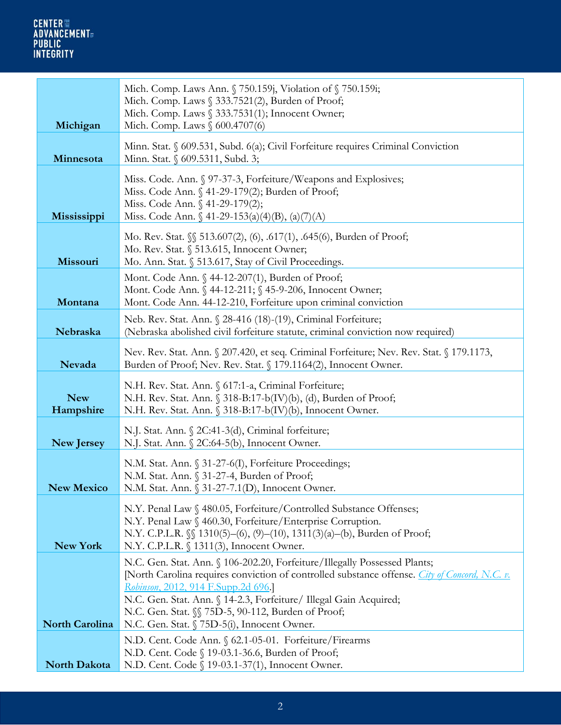| Michigan                | Mich. Comp. Laws Ann. § 750.159; Violation of § 750.159i;<br>Mich. Comp. Laws § 333.7521(2), Burden of Proof;<br>Mich. Comp. Laws § 333.7531(1); Innocent Owner;<br>Mich. Comp. Laws § 600.4707(6)                                                                                            |
|-------------------------|-----------------------------------------------------------------------------------------------------------------------------------------------------------------------------------------------------------------------------------------------------------------------------------------------|
| Minnesota               | Minn. Stat. § 609.531, Subd. 6(a); Civil Forfeiture requires Criminal Conviction<br>Minn. Stat. § 609.5311, Subd. 3;                                                                                                                                                                          |
| Mississippi             | Miss. Code. Ann. § 97-37-3, Forfeiture/Weapons and Explosives;<br>Miss. Code Ann. § 41-29-179(2); Burden of Proof;<br>Miss. Code Ann. § 41-29-179(2);<br>Miss. Code Ann. § 41-29-153(a)(4)(B), (a)(7)(A)                                                                                      |
| Missouri                | Mo. Rev. Stat. §§ 513.607(2), (6), .617(1), .645(6), Burden of Proof;<br>Mo. Rev. Stat. § 513.615, Innocent Owner;<br>Mo. Ann. Stat. § 513.617, Stay of Civil Proceedings.                                                                                                                    |
| Montana                 | Mont. Code Ann. § 44-12-207(1), Burden of Proof;<br>Mont. Code Ann. § 44-12-211; § 45-9-206, Innocent Owner;<br>Mont. Code Ann. 44-12-210, Forfeiture upon criminal conviction                                                                                                                |
| Nebraska                | Neb. Rev. Stat. Ann. § 28-416 (18)-(19), Criminal Forfeiture;<br>(Nebraska abolished civil forfeiture statute, criminal conviction now required)                                                                                                                                              |
| Nevada                  | Nev. Rev. Stat. Ann. § 207.420, et seq. Criminal Forfeiture; Nev. Rev. Stat. § 179.1173,<br>Burden of Proof; Nev. Rev. Stat. § 179.1164(2), Innocent Owner.                                                                                                                                   |
| <b>New</b><br>Hampshire | N.H. Rev. Stat. Ann. § 617:1-a, Criminal Forfeiture;<br>N.H. Rev. Stat. Ann. § 318-B:17-b(IV)(b), (d), Burden of Proof;<br>N.H. Rev. Stat. Ann. § 318-B:17-b(IV)(b), Innocent Owner.                                                                                                          |
| <b>New Jersey</b>       | N.J. Stat. Ann. § 2C:41-3(d), Criminal forfeiture;<br>N.J. Stat. Ann. § 2C:64-5(b), Innocent Owner.                                                                                                                                                                                           |
| <b>New Mexico</b>       | N.M. Stat. Ann. § 31-27-6(I), Forfeiture Proceedings;<br>N.M. Stat. Ann. § 31-27-4, Burden of Proof;<br>N.M. Stat. Ann. § 31-27-7.1(D), Innocent Owner.                                                                                                                                       |
| New York                | N.Y. Penal Law § 480.05, Forfeiture/Controlled Substance Offenses;<br>N.Y. Penal Law § 460.30, Forfeiture/Enterprise Corruption.<br>N.Y. C.P.L.R. $\mathcal{N}$ 1310(5)-(6), (9)-(10), 1311(3)(a)-(b), Burden of Proof;<br>N.Y. C.P.L.R. § 1311(3), Innocent Owner.                           |
|                         | N.C. Gen. Stat. Ann. § 106-202.20, Forfeiture/Illegally Possessed Plants;<br>[North Carolina requires conviction of controlled substance offense. <i>City of Concord</i> , N.C. v.<br>Robinson, 2012, 914 F.Supp.2d 696.<br>N.C. Gen. Stat. Ann. § 14-2.3, Forfeiture/ Illegal Gain Acquired; |
| <b>North Carolina</b>   | N.C. Gen. Stat. § 75D-5, 90-112, Burden of Proof;<br>N.C. Gen. Stat. § 75D-5(i), Innocent Owner.                                                                                                                                                                                              |
| <b>North Dakota</b>     | N.D. Cent. Code Ann. § 62.1-05-01. Forfeiture/Firearms<br>N.D. Cent. Code § 19-03.1-36.6, Burden of Proof;<br>N.D. Cent. Code § 19-03.1-37(1), Innocent Owner.                                                                                                                                |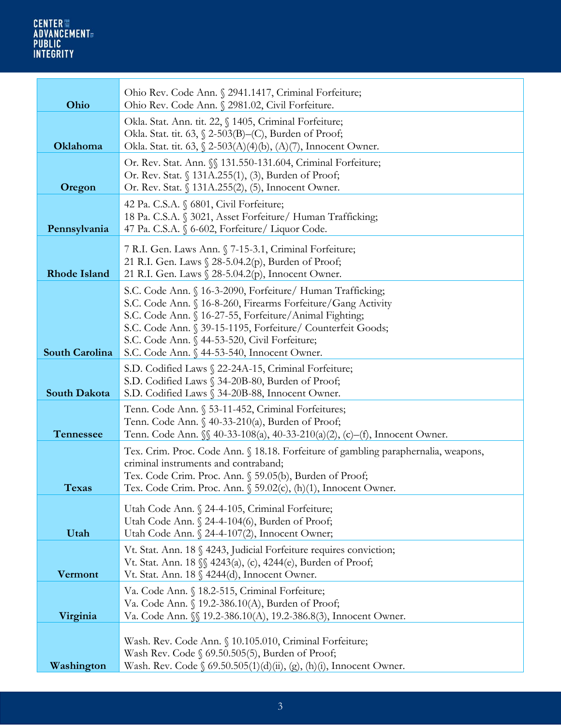| Ohio                  | Ohio Rev. Code Ann. § 2941.1417, Criminal Forfeiture;<br>Ohio Rev. Code Ann. § 2981.02, Civil Forfeiture.                                                                                                                                                                                                                                           |
|-----------------------|-----------------------------------------------------------------------------------------------------------------------------------------------------------------------------------------------------------------------------------------------------------------------------------------------------------------------------------------------------|
| Oklahoma              | Okla. Stat. Ann. tit. 22, § 1405, Criminal Forfeiture;<br>Okla. Stat. tit. 63, § 2-503(B)–(C), Burden of Proof;<br>Okla. Stat. tit. 63, § 2-503(A)(4)(b), (A)(7), Innocent Owner.                                                                                                                                                                   |
| Oregon                | Or. Rev. Stat. Ann. §§ 131.550-131.604, Criminal Forfeiture;<br>Or. Rev. Stat. § 131A.255(1), (3), Burden of Proof;<br>Or. Rev. Stat. § 131A.255(2), (5), Innocent Owner.                                                                                                                                                                           |
| Pennsylvania          | 42 Pa. C.S.A. § 6801, Civil Forfeiture;<br>18 Pa. C.S.A. § 3021, Asset Forfeiture/ Human Trafficking;<br>47 Pa. C.S.A. § 6-602, Forfeiture/ Liquor Code.                                                                                                                                                                                            |
| <b>Rhode Island</b>   | 7 R.I. Gen. Laws Ann. § 7-15-3.1, Criminal Forfeiture;<br>21 R.I. Gen. Laws § 28-5.04.2(p), Burden of Proof;<br>21 R.I. Gen. Laws § 28-5.04.2(p), Innocent Owner.                                                                                                                                                                                   |
| <b>South Carolina</b> | S.C. Code Ann. § 16-3-2090, Forfeiture/ Human Trafficking;<br>S.C. Code Ann. § 16-8-260, Firearms Forfeiture/Gang Activity<br>S.C. Code Ann. § 16-27-55, Forfeiture/Animal Fighting;<br>S.C. Code Ann. § 39-15-1195, Forfeiture/ Counterfeit Goods;<br>S.C. Code Ann. § 44-53-520, Civil Forfeiture;<br>S.C. Code Ann. § 44-53-540, Innocent Owner. |
| <b>South Dakota</b>   | S.D. Codified Laws § 22-24A-15, Criminal Forfeiture;<br>S.D. Codified Laws § 34-20B-80, Burden of Proof;<br>S.D. Codified Laws § 34-20B-88, Innocent Owner.                                                                                                                                                                                         |
| <b>Tennessee</b>      | Tenn. Code Ann. § 53-11-452, Criminal Forfeitures;<br>Tenn. Code Ann. § 40-33-210(a), Burden of Proof;<br>Tenn. Code Ann. §§ 40-33-108(a), 40-33-210(a)(2), (c)-(f), Innocent Owner.                                                                                                                                                                |
| <b>Texas</b>          | Tex. Crim. Proc. Code Ann. § 18.18. Forfeiture of gambling paraphernalia, weapons,<br>criminal instruments and contraband;<br>Tex. Code Crim. Proc. Ann. § 59.05(b), Burden of Proof;<br>Tex. Code Crim. Proc. Ann. § 59.02(c), (h)(1), Innocent Owner.                                                                                             |
| Utah                  | Utah Code Ann. § 24-4-105, Criminal Forfeiture;<br>Utah Code Ann. § 24-4-104(6), Burden of Proof;<br>Utah Code Ann. § 24-4-107(2), Innocent Owner;                                                                                                                                                                                                  |
| Vermont               | Vt. Stat. Ann. 18 § 4243, Judicial Forfeiture requires conviction;<br>Vt. Stat. Ann. 18 §§ 4243(a), (c), 4244(e), Burden of Proof;<br>Vt. Stat. Ann. 18 § 4244(d), Innocent Owner.                                                                                                                                                                  |
| Virginia              | Va. Code Ann. § 18.2-515, Criminal Forfeiture;<br>Va. Code Ann. § 19.2-386.10(A), Burden of Proof;<br>Va. Code Ann. <i>\§</i> 19.2-386.10(A), 19.2-386.8(3), Innocent Owner.                                                                                                                                                                        |
| Washington            | Wash. Rev. Code Ann. § 10.105.010, Criminal Forfeiture;<br>Wash Rev. Code § 69.50.505(5), Burden of Proof;<br>Wash. Rev. Code § 69.50.505(1)(d)(ii), (g), (h)(i), Innocent Owner.                                                                                                                                                                   |